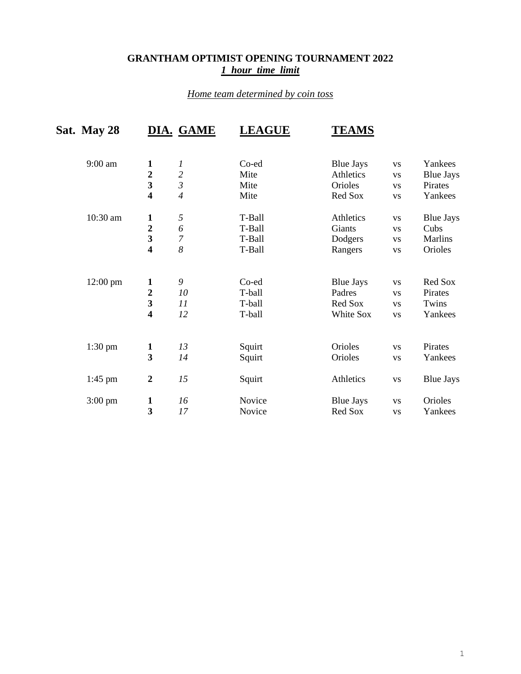## **GRANTHAM OPTIMIST OPENING TOURNAMENT 2022** *1 hour time limit*

## *Home team determined by coin toss*

| Sat. May 28        |                         | DIA. GAME      | <b>LEAGUE</b> | <b>TEAMS</b>     |             |                  |
|--------------------|-------------------------|----------------|---------------|------------------|-------------|------------------|
| $9:00$ am          | $\mathbf{1}$            | 1              | Co-ed         | <b>Blue Jays</b> | <b>VS</b>   | Yankees          |
|                    | $\overline{2}$          | $\frac{2}{3}$  | Mite          | Athletics        | <b>VS</b>   | <b>Blue Jays</b> |
|                    | $\overline{\mathbf{3}}$ |                | Mite          | Orioles          | <b>VS</b>   | Pirates          |
|                    | $\overline{\mathbf{4}}$ | $\overline{4}$ | Mite          | Red Sox          | <b>VS</b>   | Yankees          |
| 10:30 am           | 1                       | $\sqrt{2}$     | T-Ball        | Athletics        | <b>VS</b>   | <b>Blue Jays</b> |
|                    | $\overline{2}$          | 6              | T-Ball        | Giants           | <b>VS</b>   | Cubs             |
|                    | $\overline{\mathbf{3}}$ | 7              | T-Ball        | Dodgers          | <b>VS</b>   | <b>Marlins</b>   |
|                    | $\overline{\mathbf{4}}$ | 8              | T-Ball        | Rangers          | <b>VS</b>   | Orioles          |
| $12:00 \text{ pm}$ | 1                       | 9              | Co-ed         | <b>Blue Jays</b> | <b>VS</b>   | Red Sox          |
|                    | $\overline{2}$          | 10             | T-ball        | Padres           | <b>VS</b>   | Pirates          |
|                    | $\overline{\mathbf{3}}$ | 11             | T-ball        | Red Sox          | <b>VS</b>   | Twins            |
|                    | $\overline{\mathbf{4}}$ | 12             | T-ball        | White Sox        | <b>VS</b>   | Yankees          |
| $1:30$ pm          | $\mathbf{1}$            | 13             | Squirt        | Orioles          | <b>VS</b>   | Pirates          |
|                    | $\overline{\mathbf{3}}$ | 14             | Squirt        | Orioles          | <b>VS</b>   | Yankees          |
| 1:45 pm            | $\overline{2}$          | 15             | Squirt        | Athletics        | $_{\rm VS}$ | <b>Blue Jays</b> |
| $3:00 \text{ pm}$  | 1                       | 16             | Novice        | <b>Blue Jays</b> | <b>VS</b>   | Orioles          |
|                    | $\overline{\mathbf{3}}$ | 17             | Novice        | Red Sox          | <b>VS</b>   | Yankees          |